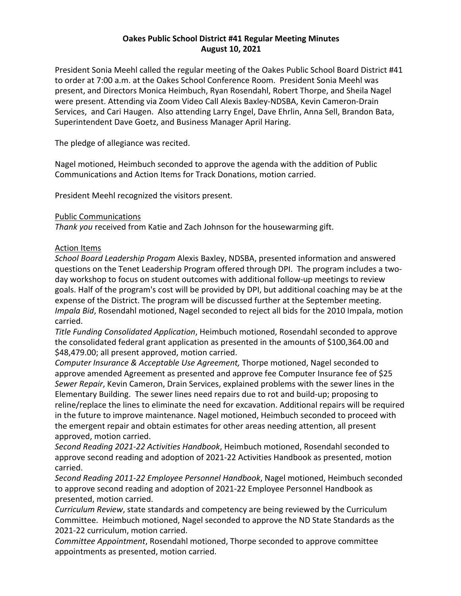# **Oakes Public School District #41 Regular Meeting Minutes August 10, 2021**

President Sonia Meehl called the regular meeting of the Oakes Public School Board District #41 to order at 7:00 a.m. at the Oakes School Conference Room. President Sonia Meehl was present, and Directors Monica Heimbuch, Ryan Rosendahl, Robert Thorpe, and Sheila Nagel were present. Attending via Zoom Video Call Alexis Baxley-NDSBA, Kevin Cameron-Drain Services, and Cari Haugen. Also attending Larry Engel, Dave Ehrlin, Anna Sell, Brandon Bata, Superintendent Dave Goetz, and Business Manager April Haring.

The pledge of allegiance was recited.

Nagel motioned, Heimbuch seconded to approve the agenda with the addition of Public Communications and Action Items for Track Donations, motion carried.

President Meehl recognized the visitors present.

# Public Communications

*Thank you* received from Katie and Zach Johnson for the housewarming gift.

# Action Items

*School Board Leadership Progam* Alexis Baxley, NDSBA, presented information and answered questions on the Tenet Leadership Program offered through DPI. The program includes a twoday workshop to focus on student outcomes with additional follow-up meetings to review goals. Half of the program's cost will be provided by DPI, but additional coaching may be at the expense of the District. The program will be discussed further at the September meeting. *Impala Bid*, Rosendahl motioned, Nagel seconded to reject all bids for the 2010 Impala, motion carried.

*Title Funding Consolidated Application*, Heimbuch motioned, Rosendahl seconded to approve the consolidated federal grant application as presented in the amounts of \$100,364.00 and \$48,479.00; all present approved, motion carried.

*Computer Insurance & Acceptable Use Agreement,* Thorpe motioned, Nagel seconded to approve amended Agreement as presented and approve fee Computer Insurance fee of \$25 *Sewer Repair*, Kevin Cameron, Drain Services, explained problems with the sewer lines in the Elementary Building. The sewer lines need repairs due to rot and build-up; proposing to reline/replace the lines to eliminate the need for excavation. Additional repairs will be required in the future to improve maintenance. Nagel motioned, Heimbuch seconded to proceed with the emergent repair and obtain estimates for other areas needing attention, all present approved, motion carried.

*Second Reading 2021-22 Activities Handbook*, Heimbuch motioned, Rosendahl seconded to approve second reading and adoption of 2021-22 Activities Handbook as presented, motion carried.

*Second Reading 2011-22 Employee Personnel Handbook*, Nagel motioned, Heimbuch seconded to approve second reading and adoption of 2021-22 Employee Personnel Handbook as presented, motion carried.

*Curriculum Review*, state standards and competency are being reviewed by the Curriculum Committee. Heimbuch motioned, Nagel seconded to approve the ND State Standards as the 2021-22 curriculum, motion carried.

*Committee Appointment*, Rosendahl motioned, Thorpe seconded to approve committee appointments as presented, motion carried.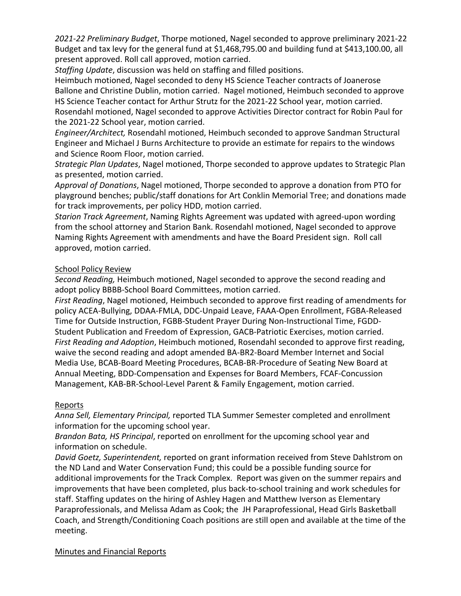*2021-22 Preliminary Budget*, Thorpe motioned, Nagel seconded to approve preliminary 2021-22 Budget and tax levy for the general fund at \$1,468,795.00 and building fund at \$413,100.00, all present approved. Roll call approved, motion carried.

*Staffing Update*, discussion was held on staffing and filled positions.

Heimbuch motioned, Nagel seconded to deny HS Science Teacher contracts of Joanerose Ballone and Christine Dublin, motion carried. Nagel motioned, Heimbuch seconded to approve HS Science Teacher contact for Arthur Strutz for the 2021-22 School year, motion carried. Rosendahl motioned, Nagel seconded to approve Activities Director contract for Robin Paul for the 2021-22 School year, motion carried.

*Engineer/Architect,* Rosendahl motioned, Heimbuch seconded to approve Sandman Structural Engineer and Michael J Burns Architecture to provide an estimate for repairs to the windows and Science Room Floor, motion carried.

*Strategic Plan Updates*, Nagel motioned, Thorpe seconded to approve updates to Strategic Plan as presented, motion carried.

*Approval of Donations*, Nagel motioned, Thorpe seconded to approve a donation from PTO for playground benches; public/staff donations for Art Conklin Memorial Tree; and donations made for track improvements, per policy HDD, motion carried.

*Starion Track Agreement*, Naming Rights Agreement was updated with agreed-upon wording from the school attorney and Starion Bank. Rosendahl motioned, Nagel seconded to approve Naming Rights Agreement with amendments and have the Board President sign. Roll call approved, motion carried.

# School Policy Review

*Second Reading,* Heimbuch motioned, Nagel seconded to approve the second reading and adopt policy BBBB-School Board Committees, motion carried.

*First Reading*, Nagel motioned, Heimbuch seconded to approve first reading of amendments for policy ACEA-Bullying, DDAA-FMLA, DDC-Unpaid Leave, FAAA-Open Enrollment, FGBA-Released Time for Outside Instruction, FGBB-Student Prayer During Non-Instructional Time, FGDD-Student Publication and Freedom of Expression, GACB-Patriotic Exercises, motion carried. *First Reading and Adoption*, Heimbuch motioned, Rosendahl seconded to approve first reading, waive the second reading and adopt amended BA-BR2-Board Member Internet and Social Media Use, BCAB-Board Meeting Procedures, BCAB-BR-Procedure of Seating New Board at Annual Meeting, BDD-Compensation and Expenses for Board Members, FCAF-Concussion Management, KAB-BR-School-Level Parent & Family Engagement, motion carried.

### Reports

*Anna Sell, Elementary Principal,* reported TLA Summer Semester completed and enrollment information for the upcoming school year.

*Brandon Bata, HS Principal*, reported on enrollment for the upcoming school year and information on schedule.

*David Goetz, Superintendent,* reported on grant information received from Steve Dahlstrom on the ND Land and Water Conservation Fund; this could be a possible funding source for additional improvements for the Track Complex. Report was given on the summer repairs and improvements that have been completed, plus back-to-school training and work schedules for staff. Staffing updates on the hiring of Ashley Hagen and Matthew Iverson as Elementary Paraprofessionals, and Melissa Adam as Cook; the JH Paraprofessional, Head Girls Basketball Coach, and Strength/Conditioning Coach positions are still open and available at the time of the meeting.

Minutes and Financial Reports